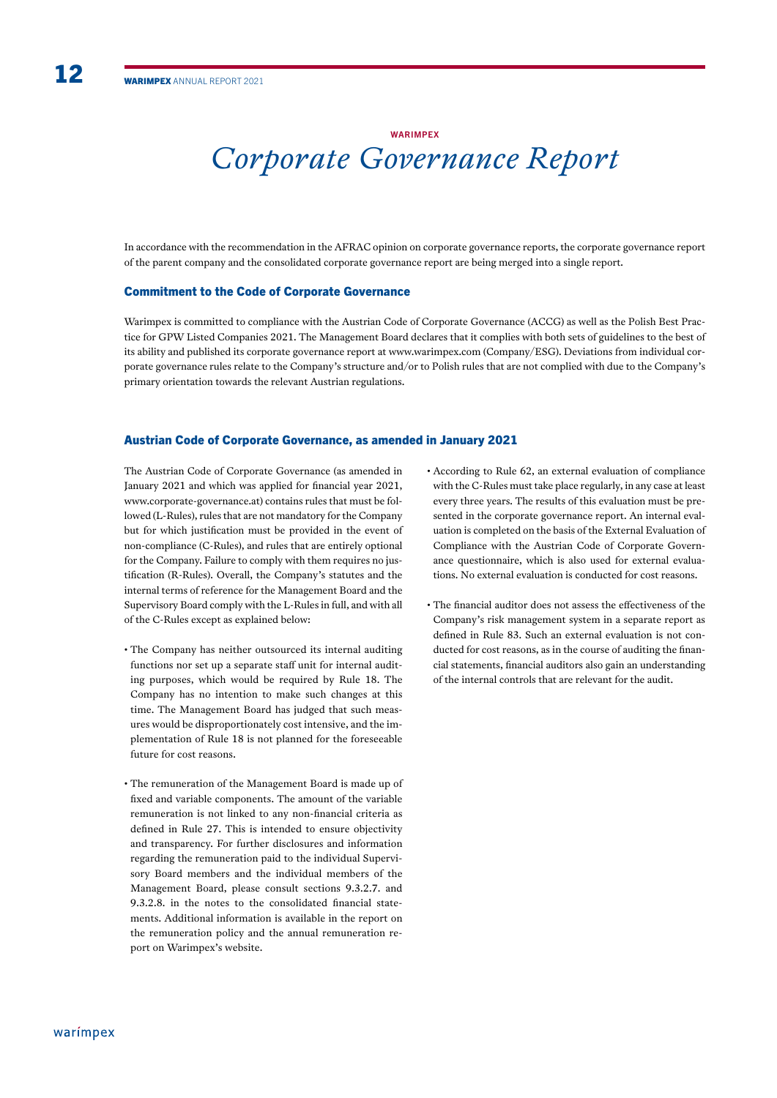# **WARIMPFX** *Corporate Governance Report*

In accordance with the recommendation in the AFRAC opinion on corporate governance reports, the corporate governance report of the parent company and the consolidated corporate governance report are being merged into a single report.

#### Commitment to the Code of Corporate Governance

Warimpex is committed to compliance with the Austrian Code of Corporate Governance (ACCG) as well as the Polish Best Practice for GPW Listed Companies 2021. The Management Board declares that it complies with both sets of guidelines to the best of its ability and published its corporate governance report at www.warimpex.com (Company/ESG). Deviations from individual corporate governance rules relate to the Company's structure and/or to Polish rules that are not complied with due to the Company's primary orientation towards the relevant Austrian regulations.

#### Austrian Code of Corporate Governance, as amended in January 2021

The Austrian Code of Corporate Governance (as amended in January 2021 and which was applied for fnancial year 2021, www.corporate-governance.at) contains rules that must be followed (L-Rules), rules that are not mandatory for the Company but for which justifcation must be provided in the event of non-compliance (C-Rules), and rules that are entirely optional for the Company. Failure to comply with them requires no justifcation (R-Rules). Overall, the Company's statutes and the internal terms of reference for the Management Board and the Supervisory Board comply with the L-Rules in full, and with all of the C-Rules except as explained below:

- The Company has neither outsourced its internal auditing functions nor set up a separate staff unit for internal auditing purposes, which would be required by Rule 18. The Company has no intention to make such changes at this time. The Management Board has judged that such measures would be disproportionately cost intensive, and the implementation of Rule 18 is not planned for the foreseeable future for cost reasons.
- The remuneration of the Management Board is made up of fxed and variable components. The amount of the variable remuneration is not linked to any non-fnancial criteria as defned in Rule 27. This is intended to ensure objectivity and transparency. For further disclosures and information regarding the remuneration paid to the individual Supervisory Board members and the individual members of the Management Board, please consult sections 9.3.2.7. and 9.3.2.8. in the notes to the consolidated fnancial statements. Additional information is available in the report on the remuneration policy and the annual remuneration report on Warimpex's website.
- According to Rule 62, an external evaluation of compliance with the C-Rules must take place regularly, in any case at least every three years. The results of this evaluation must be presented in the corporate governance report. An internal evaluation is completed on the basis of the External Evaluation of Compliance with the Austrian Code of Corporate Governance questionnaire, which is also used for external evaluations. No external evaluation is conducted for cost reasons.
- The financial auditor does not assess the effectiveness of the Company's risk management system in a separate report as defned in Rule 83. Such an external evaluation is not conducted for cost reasons, as in the course of auditing the fnancial statements, fnancial auditors also gain an understanding of the internal controls that are relevant for the audit.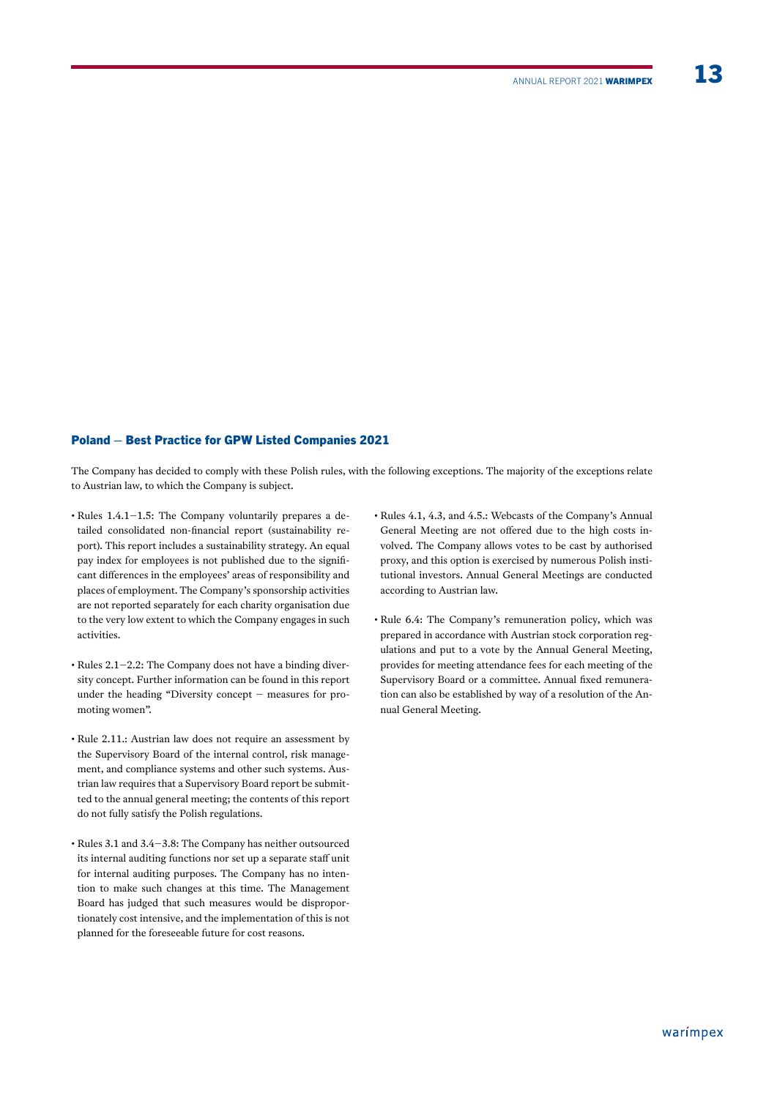# Poland – Best Practice for GPW Listed Companies 2021

The Company has decided to comply with these Polish rules, with the following exceptions. The majority of the exceptions relate to Austrian law, to which the Company is subject.

- Rules 1.4.1-1.5: The Company voluntarily prepares a detailed consolidated non-fnancial report (sustainability report). This report includes a sustainability strategy. An equal pay index for employees is not published due to the signifcant diferences in the employees' areas of responsibility and places of employment. The Company's sponsorship activities are not reported separately for each charity organisation due to the very low extent to which the Company engages in such activities.
- Rules 2.1-2.2: The Company does not have a binding diversity concept. Further information can be found in this report under the heading "Diversity concept – measures for promoting women".
- Rule 2.11.: Austrian law does not require an assessment by the Supervisory Board of the internal control, risk management, and compliance systems and other such systems. Austrian law requires that a Supervisory Board report be submitted to the annual general meeting; the contents of this report do not fully satisfy the Polish regulations.
- Rules 3.1 and 3.4-3.8: The Company has neither outsourced its internal auditing functions nor set up a separate staff unit for internal auditing purposes. The Company has no intention to make such changes at this time. The Management Board has judged that such measures would be disproportionately cost intensive, and the implementation of this is not planned for the foreseeable future for cost reasons.
- Rules 4.1, 4.3, and 4.5.: Webcasts of the Company's Annual General Meeting are not offered due to the high costs involved. The Company allows votes to be cast by authorised proxy, and this option is exercised by numerous Polish institutional investors. Annual General Meetings are conducted according to Austrian law.
- Rule 6.4: The Company's remuneration policy, which was prepared in accordance with Austrian stock corporation regulations and put to a vote by the Annual General Meeting, provides for meeting attendance fees for each meeting of the Supervisory Board or a committee. Annual fxed remuneration can also be established by way of a resolution of the Annual General Meeting.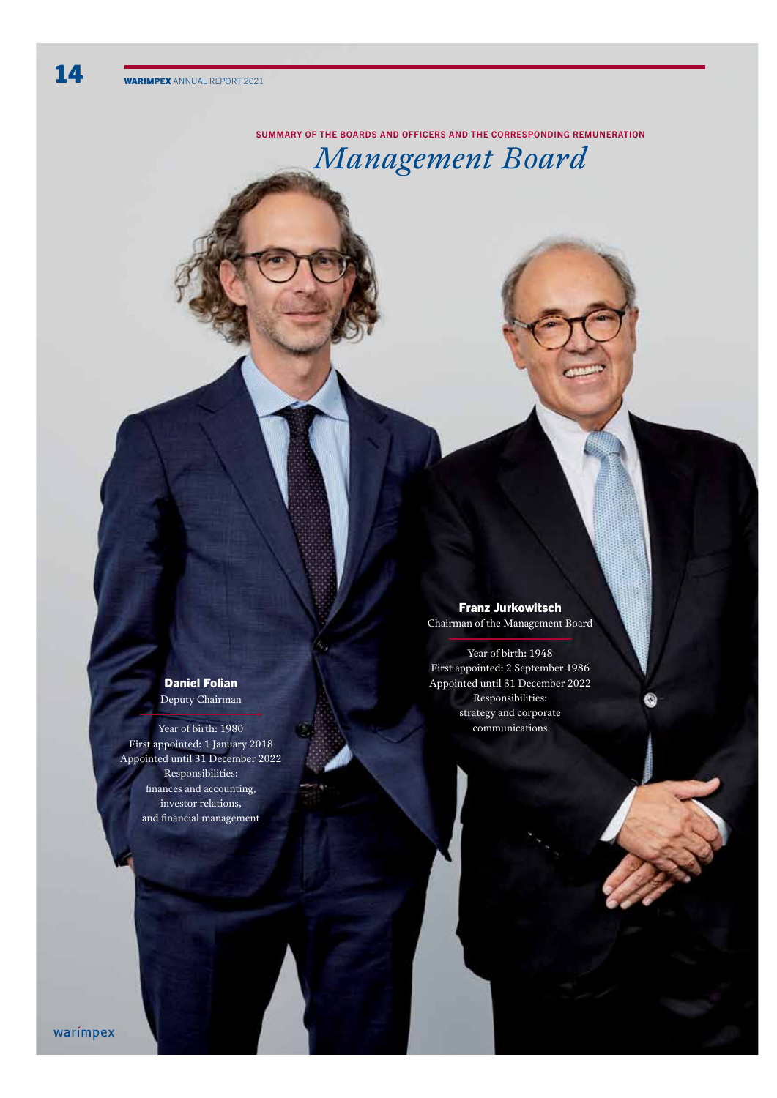## SUMMARY OF THE BOARDS AND OFFICERS AND THE CORRESPONDING REMUNERATION

# *Management Board*

Daniel Folian Deputy Chairman

Year of birth: 1980 First appointed: 1 January 2018 Appointed until 31 December 2022 Responsibilities: fnances and accounting, investor relations, and fnancial management

# Franz Jurkowitsch

Chairman of the Management Board

Year of birth: 1948 First appointed: 2 September 1986 Appointed until 31 December 2022 Responsibilities: strategy and corporate communications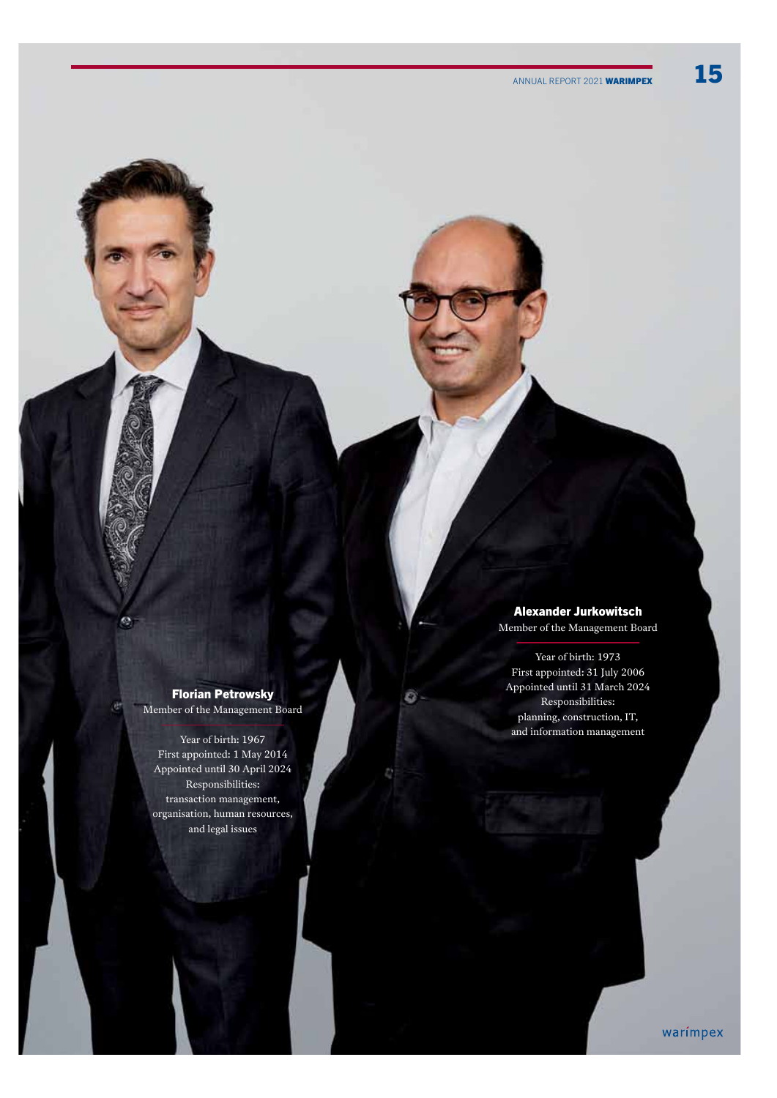Florian Petrowsky Member of the Management Board

G

Year of birth: 1967 First appointed: 1 May 2014 Appointed until 30 April 2024 Responsibilities: transaction management, organisation, human resources, and legal issues

Alexander Jurkowitsch

Member of the Management Board

Year of birth: 1973 First appointed: 31 July 2006 Appointed until 31 March 2024 Responsibilities: planning, construction, IT, and information management

Ō

warímpex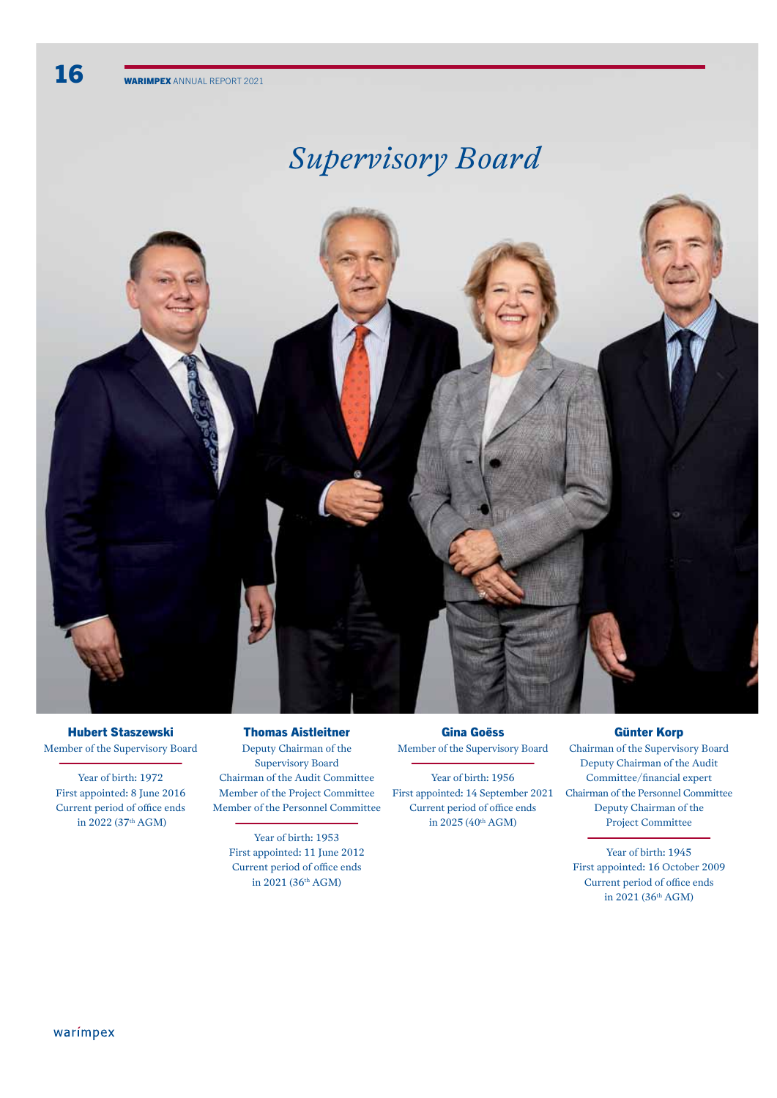# *Supervisory Board*



Hubert Staszewski Member of the Supervisory Board

Year of birth: 1972 First appointed: 8 June 2016 Current period of office ends in 2022 (37th AGM)

Thomas Aistleitner Deputy Chairman of the Supervisory Board Chairman of the Audit Committee Member of the Project Committee Member of the Personnel Committee

Year of birth: 1953 First appointed: 11 June 2012 Current period of office ends in  $2021(36<sup>th</sup> AGM)$ 

# Gina Goëss Member of the Supervisory Board

Year of birth: 1956 First appointed: 14 September 2021 Current period of office ends in 2025 (40<sup>th</sup> AGM)

## Günter Korp

Chairman of the Supervisory Board Deputy Chairman of the Audit Committee/fnancial expert Chairman of the Personnel Committee Deputy Chairman of the Project Committee

Year of birth: 1945 First appointed: 16 October 2009 Current period of office ends in  $2021(36<sup>th</sup> AGM)$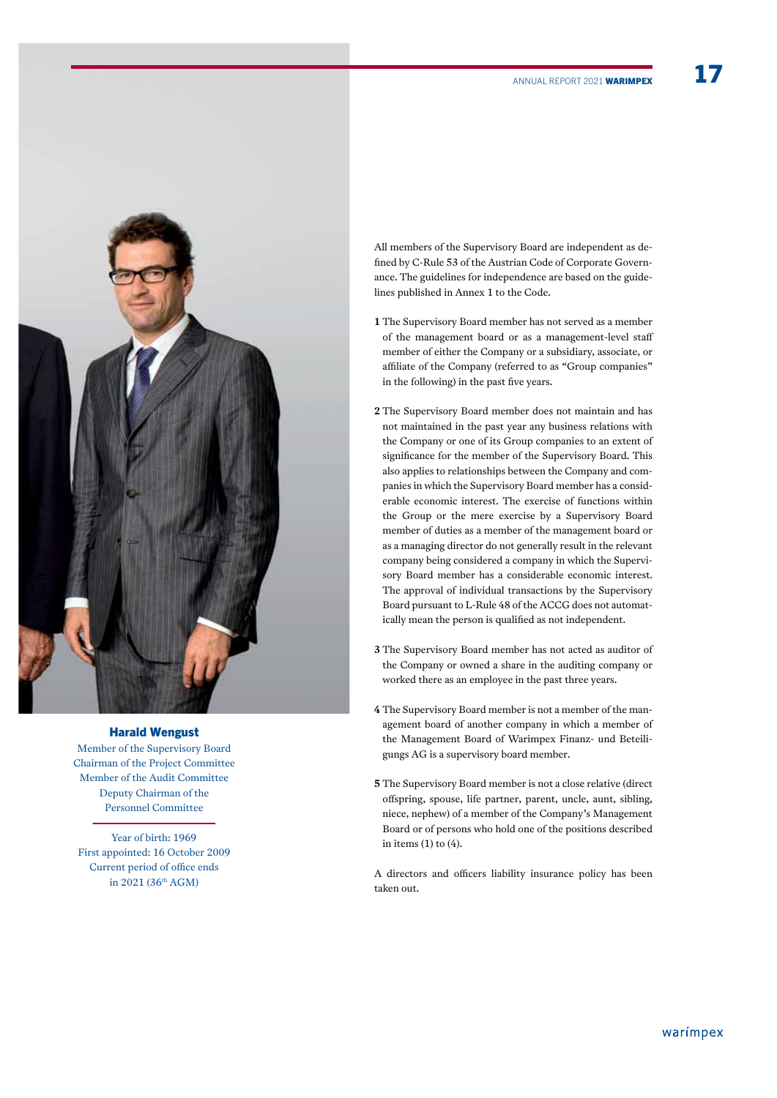

# Harald Wengust

Member of the Supervisory Board Chairman of the Project Committee Member of the Audit Committee Deputy Chairman of the Personnel Committee

Year of birth: 1969 First appointed: 16 October 2009 Current period of office ends in 2021 (36th AGM)

All members of the Supervisory Board are independent as defned by C-Rule 53 of the Austrian Code of Corporate Governance. The guidelines for independence are based on the guidelines published in Annex 1 to the Code.

- **1** The Supervisory Board member has not served as a member of the management board or as a management-level staf member of either the Company or a subsidiary, associate, or affiliate of the Company (referred to as "Group companies" in the following) in the past fve years.
- **2** The Supervisory Board member does not maintain and has not maintained in the past year any business relations with the Company or one of its Group companies to an extent of signifcance for the member of the Supervisory Board. This also applies to relationships between the Company and companies in which the Supervisory Board member has a considerable economic interest. The exercise of functions within the Group or the mere exercise by a Supervisory Board member of duties as a member of the management board or as a managing director do not generally result in the relevant company being considered a company in which the Supervisory Board member has a considerable economic interest. The approval of individual transactions by the Supervisory Board pursuant to L-Rule 48 of the ACCG does not automatically mean the person is qualifed as not independent.
- **3** The Supervisory Board member has not acted as auditor of the Company or owned a share in the auditing company or worked there as an employee in the past three years.
- **4** The Supervisory Board member is not a member of the management board of another company in which a member of the Management Board of Warimpex Finanz- und Beteiligungs AG is a supervisory board member.
- **5** The Supervisory Board member is not a close relative (direct ofspring, spouse, life partner, parent, uncle, aunt, sibling, niece, nephew) of a member of the Company's Management Board or of persons who hold one of the positions described in items  $(1)$  to  $(4)$ .

A directors and officers liability insurance policy has been taken out.